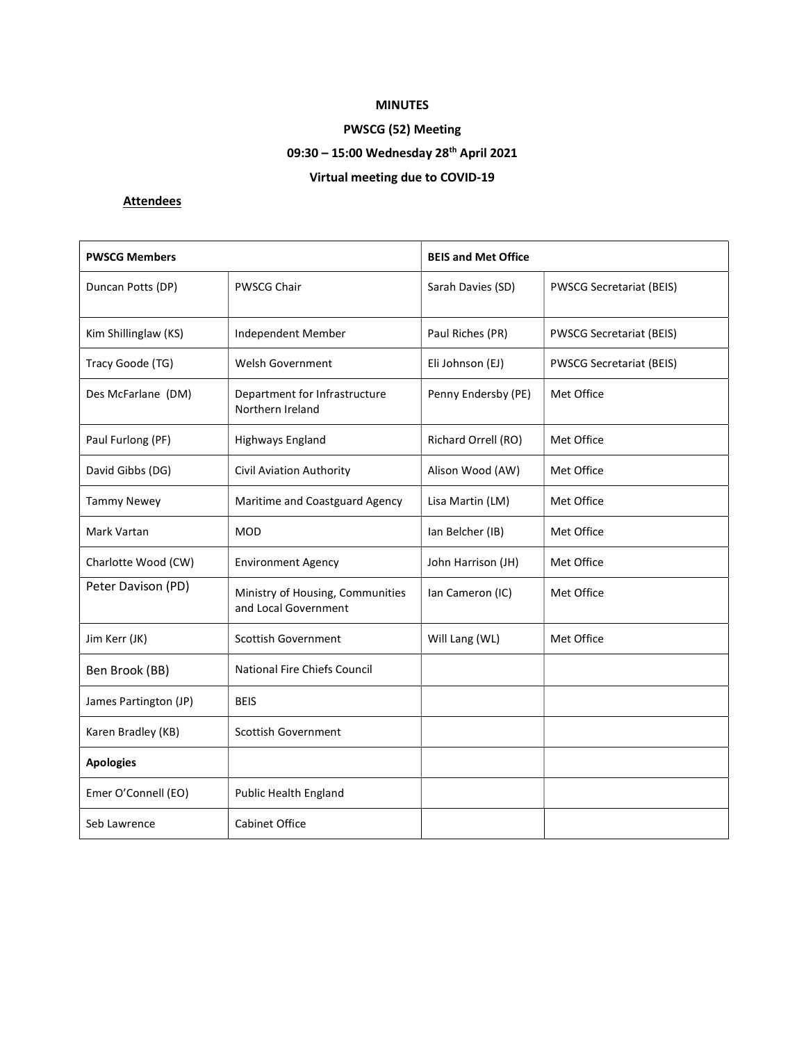## MINUTES

# PWSCG (52) Meeting

# 09:30 - 15:00 Wednesday 28<sup>th</sup> April 2021

# Virtual meeting due to COVID-19

# **Attendees**

| <b>PWSCG Members</b>  |                                                          | <b>BEIS and Met Office</b> |                                 |
|-----------------------|----------------------------------------------------------|----------------------------|---------------------------------|
| Duncan Potts (DP)     | <b>PWSCG Chair</b>                                       | Sarah Davies (SD)          | <b>PWSCG Secretariat (BEIS)</b> |
| Kim Shillinglaw (KS)  | Independent Member                                       | Paul Riches (PR)           | <b>PWSCG Secretariat (BEIS)</b> |
| Tracy Goode (TG)      | <b>Welsh Government</b>                                  | Eli Johnson (EJ)           | <b>PWSCG Secretariat (BEIS)</b> |
| Des McFarlane (DM)    | Department for Infrastructure<br>Northern Ireland        | Penny Endersby (PE)        | Met Office                      |
| Paul Furlong (PF)     | Highways England                                         | Richard Orrell (RO)        | Met Office                      |
| David Gibbs (DG)      | Civil Aviation Authority                                 | Alison Wood (AW)           | Met Office                      |
| <b>Tammy Newey</b>    | Maritime and Coastguard Agency                           | Lisa Martin (LM)           | Met Office                      |
| Mark Vartan           | <b>MOD</b>                                               | Ian Belcher (IB)           | Met Office                      |
| Charlotte Wood (CW)   | <b>Environment Agency</b>                                | John Harrison (JH)         | Met Office                      |
| Peter Davison (PD)    | Ministry of Housing, Communities<br>and Local Government | Ian Cameron (IC)           | Met Office                      |
| Jim Kerr (JK)         | <b>Scottish Government</b>                               | Will Lang (WL)             | Met Office                      |
| Ben Brook (BB)        | <b>National Fire Chiefs Council</b>                      |                            |                                 |
| James Partington (JP) | <b>BEIS</b>                                              |                            |                                 |
| Karen Bradley (KB)    | <b>Scottish Government</b>                               |                            |                                 |
| <b>Apologies</b>      |                                                          |                            |                                 |
| Emer O'Connell (EO)   | <b>Public Health England</b>                             |                            |                                 |
| Seb Lawrence          | <b>Cabinet Office</b>                                    |                            |                                 |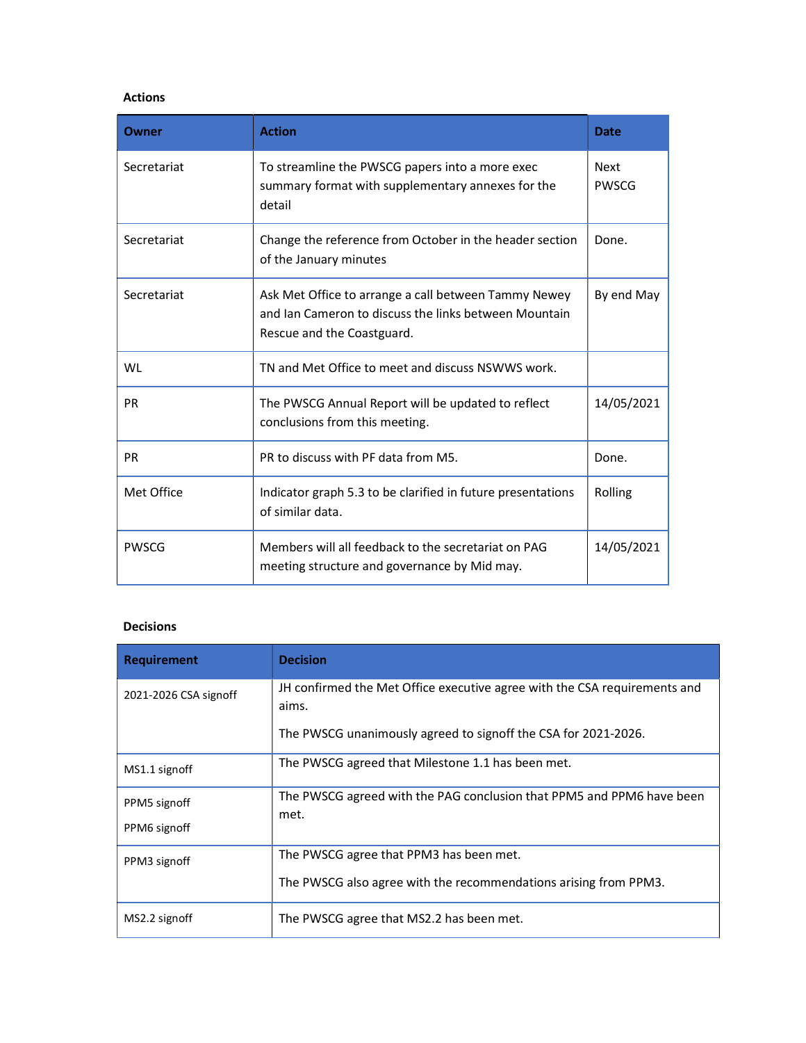#### Actions

| Owner        | <b>Action</b>                                                                                                                               | Date                        |
|--------------|---------------------------------------------------------------------------------------------------------------------------------------------|-----------------------------|
| Secretariat  | To streamline the PWSCG papers into a more exec<br>summary format with supplementary annexes for the<br>detail                              | <b>Next</b><br><b>PWSCG</b> |
| Secretariat  | Change the reference from October in the header section<br>of the January minutes                                                           | Done.                       |
| Secretariat  | Ask Met Office to arrange a call between Tammy Newey<br>and Ian Cameron to discuss the links between Mountain<br>Rescue and the Coastguard. | By end May                  |
| WL           | TN and Met Office to meet and discuss NSWWS work.                                                                                           |                             |
| <b>PR</b>    | The PWSCG Annual Report will be updated to reflect<br>conclusions from this meeting.                                                        | 14/05/2021                  |
| <b>PR</b>    | PR to discuss with PF data from M5.                                                                                                         | Done.                       |
| Met Office   | Indicator graph 5.3 to be clarified in future presentations<br>of similar data.                                                             | Rolling                     |
| <b>PWSCG</b> | Members will all feedback to the secretariat on PAG<br>meeting structure and governance by Mid may.                                         | 14/05/2021                  |

## Decisions

| <b>Requirement</b>           | <b>Decision</b>                                                                    |
|------------------------------|------------------------------------------------------------------------------------|
| 2021-2026 CSA signoff        | JH confirmed the Met Office executive agree with the CSA requirements and<br>aims. |
|                              | The PWSCG unanimously agreed to signoff the CSA for 2021-2026.                     |
| MS1.1 signoff                | The PWSCG agreed that Milestone 1.1 has been met.                                  |
| PPM5 signoff<br>PPM6 signoff | The PWSCG agreed with the PAG conclusion that PPM5 and PPM6 have been<br>met.      |
| PPM3 signoff                 | The PWSCG agree that PPM3 has been met.                                            |
|                              | The PWSCG also agree with the recommendations arising from PPM3.                   |
| MS2.2 signoff                | The PWSCG agree that MS2.2 has been met.                                           |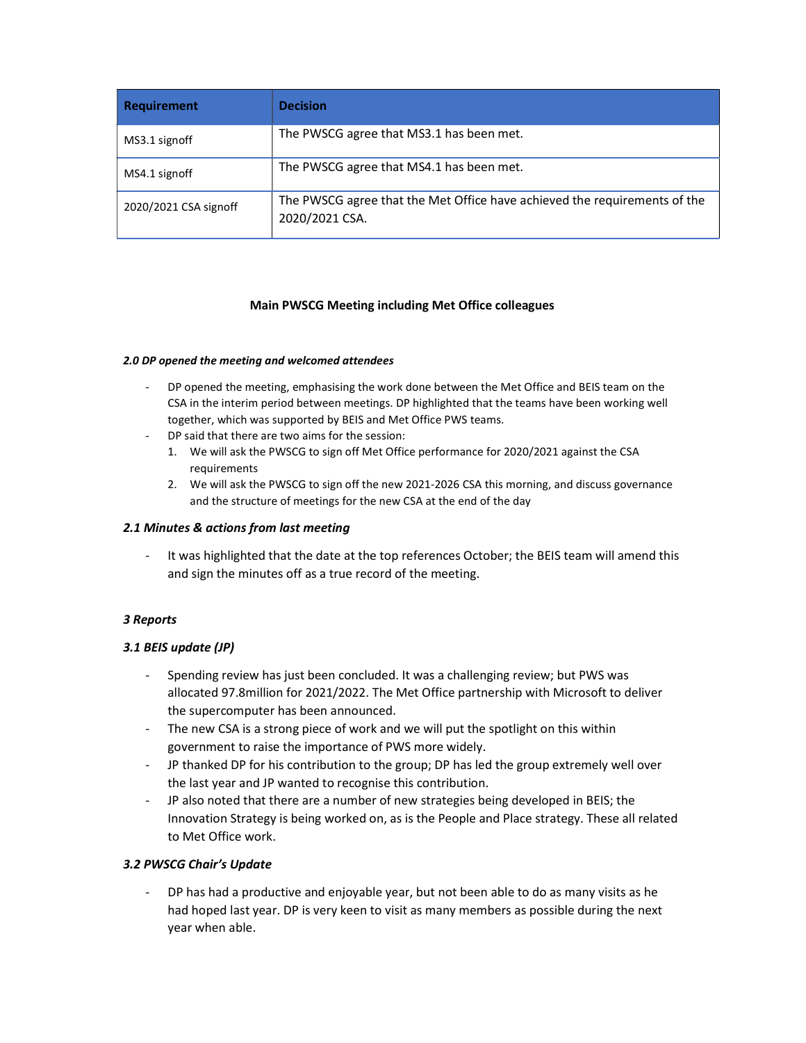| <b>Requirement</b>    | <b>Decision</b>                                                                             |
|-----------------------|---------------------------------------------------------------------------------------------|
| MS3.1 signoff         | The PWSCG agree that MS3.1 has been met.                                                    |
| MS4.1 signoff         | The PWSCG agree that MS4.1 has been met.                                                    |
| 2020/2021 CSA signoff | The PWSCG agree that the Met Office have achieved the requirements of the<br>2020/2021 CSA. |

#### Main PWSCG Meeting including Met Office colleagues

#### 2.0 DP opened the meeting and welcomed attendees

- DP opened the meeting, emphasising the work done between the Met Office and BEIS team on the CSA in the interim period between meetings. DP highlighted that the teams have been working well together, which was supported by BEIS and Met Office PWS teams.
- DP said that there are two aims for the session:
	- 1. We will ask the PWSCG to sign off Met Office performance for 2020/2021 against the CSA requirements
	- 2. We will ask the PWSCG to sign off the new 2021-2026 CSA this morning, and discuss governance and the structure of meetings for the new CSA at the end of the day

#### 2.1 Minutes & actions from last meeting

It was highlighted that the date at the top references October; the BEIS team will amend this and sign the minutes off as a true record of the meeting.

#### 3 Reports

#### 3.1 BEIS update (JP)

- Spending review has just been concluded. It was a challenging review; but PWS was allocated 97.8million for 2021/2022. The Met Office partnership with Microsoft to deliver the supercomputer has been announced.
- The new CSA is a strong piece of work and we will put the spotlight on this within government to raise the importance of PWS more widely.
- JP thanked DP for his contribution to the group; DP has led the group extremely well over the last year and JP wanted to recognise this contribution.
- JP also noted that there are a number of new strategies being developed in BEIS; the Innovation Strategy is being worked on, as is the People and Place strategy. These all related to Met Office work.

#### 3.2 PWSCG Chair's Update

- DP has had a productive and enjoyable year, but not been able to do as many visits as he had hoped last year. DP is very keen to visit as many members as possible during the next year when able.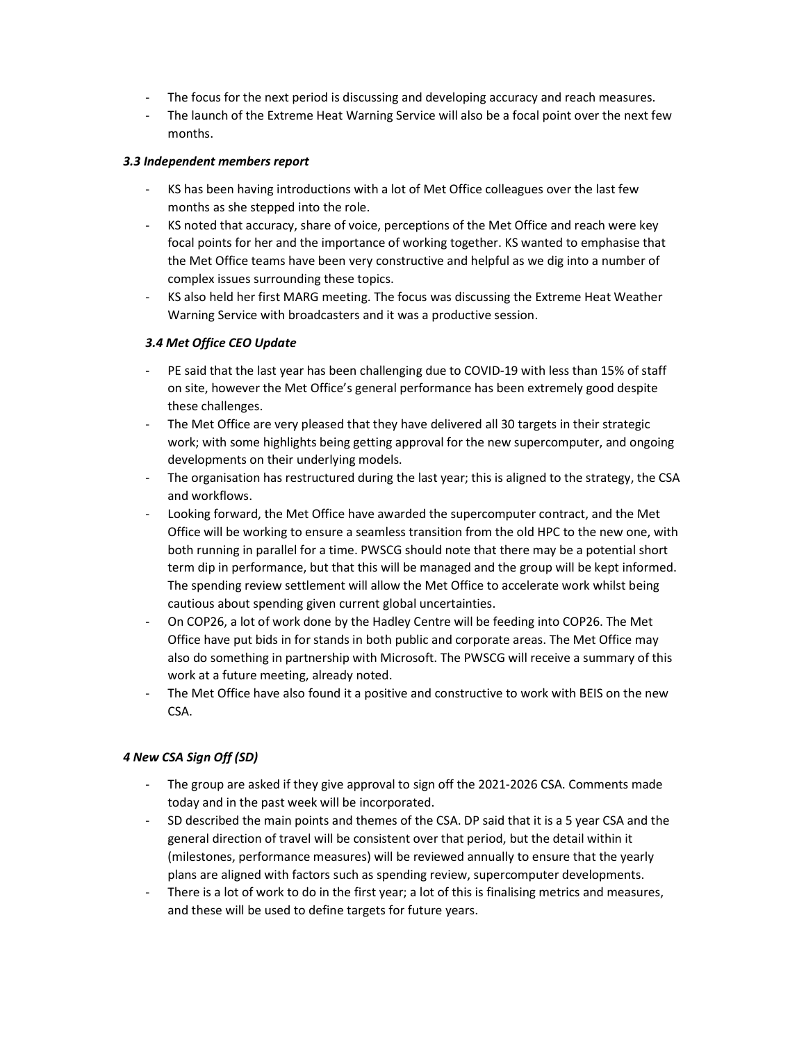- The focus for the next period is discussing and developing accuracy and reach measures.
- The launch of the Extreme Heat Warning Service will also be a focal point over the next few months.

#### 3.3 Independent members report

- KS has been having introductions with a lot of Met Office colleagues over the last few months as she stepped into the role.
- KS noted that accuracy, share of voice, perceptions of the Met Office and reach were key focal points for her and the importance of working together. KS wanted to emphasise that the Met Office teams have been very constructive and helpful as we dig into a number of complex issues surrounding these topics.
- KS also held her first MARG meeting. The focus was discussing the Extreme Heat Weather Warning Service with broadcasters and it was a productive session.

## 3.4 Met Office CEO Update

- PE said that the last year has been challenging due to COVID-19 with less than 15% of staff on site, however the Met Office's general performance has been extremely good despite these challenges.
- The Met Office are very pleased that they have delivered all 30 targets in their strategic work; with some highlights being getting approval for the new supercomputer, and ongoing developments on their underlying models.
- The organisation has restructured during the last year; this is aligned to the strategy, the CSA and workflows.
- Looking forward, the Met Office have awarded the supercomputer contract, and the Met Office will be working to ensure a seamless transition from the old HPC to the new one, with both running in parallel for a time. PWSCG should note that there may be a potential short term dip in performance, but that this will be managed and the group will be kept informed. The spending review settlement will allow the Met Office to accelerate work whilst being cautious about spending given current global uncertainties.
- On COP26, a lot of work done by the Hadley Centre will be feeding into COP26. The Met Office have put bids in for stands in both public and corporate areas. The Met Office may also do something in partnership with Microsoft. The PWSCG will receive a summary of this work at a future meeting, already noted.
- The Met Office have also found it a positive and constructive to work with BEIS on the new CSA.

## 4 New CSA Sign Off (SD)

- The group are asked if they give approval to sign off the 2021-2026 CSA. Comments made today and in the past week will be incorporated.
- SD described the main points and themes of the CSA. DP said that it is a 5 year CSA and the general direction of travel will be consistent over that period, but the detail within it (milestones, performance measures) will be reviewed annually to ensure that the yearly plans are aligned with factors such as spending review, supercomputer developments.
- There is a lot of work to do in the first year; a lot of this is finalising metrics and measures, and these will be used to define targets for future years.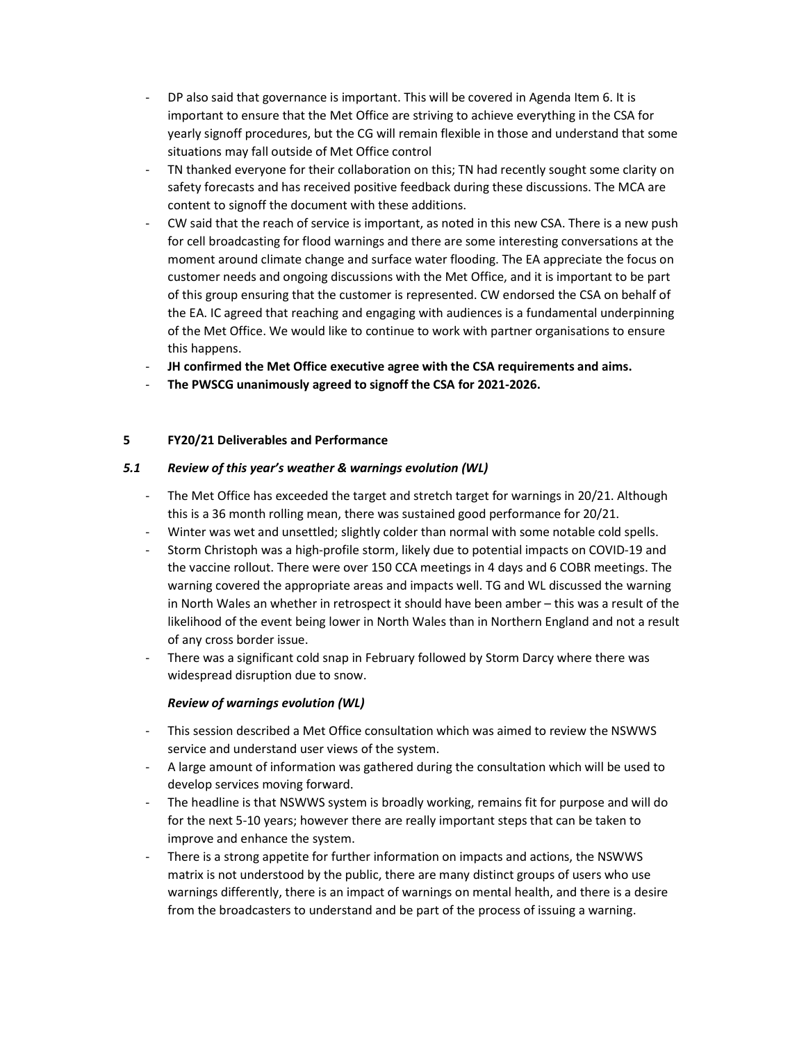- DP also said that governance is important. This will be covered in Agenda Item 6. It is important to ensure that the Met Office are striving to achieve everything in the CSA for yearly signoff procedures, but the CG will remain flexible in those and understand that some situations may fall outside of Met Office control
- TN thanked everyone for their collaboration on this; TN had recently sought some clarity on safety forecasts and has received positive feedback during these discussions. The MCA are content to signoff the document with these additions.
- CW said that the reach of service is important, as noted in this new CSA. There is a new push for cell broadcasting for flood warnings and there are some interesting conversations at the moment around climate change and surface water flooding. The EA appreciate the focus on customer needs and ongoing discussions with the Met Office, and it is important to be part of this group ensuring that the customer is represented. CW endorsed the CSA on behalf of the EA. IC agreed that reaching and engaging with audiences is a fundamental underpinning of the Met Office. We would like to continue to work with partner organisations to ensure this happens.
- JH confirmed the Met Office executive agree with the CSA requirements and aims.
- The PWSCG unanimously agreed to signoff the CSA for 2021-2026.

## 5 FY20/21 Deliverables and Performance

## 5.1 Review of this year's weather & warnings evolution (WL)

- The Met Office has exceeded the target and stretch target for warnings in 20/21. Although this is a 36 month rolling mean, there was sustained good performance for 20/21.
- Winter was wet and unsettled; slightly colder than normal with some notable cold spells.
- Storm Christoph was a high-profile storm, likely due to potential impacts on COVID-19 and the vaccine rollout. There were over 150 CCA meetings in 4 days and 6 COBR meetings. The warning covered the appropriate areas and impacts well. TG and WL discussed the warning in North Wales an whether in retrospect it should have been amber – this was a result of the likelihood of the event being lower in North Wales than in Northern England and not a result of any cross border issue.
- There was a significant cold snap in February followed by Storm Darcy where there was widespread disruption due to snow.

## Review of warnings evolution (WL)

- This session described a Met Office consultation which was aimed to review the NSWWS service and understand user views of the system.
- A large amount of information was gathered during the consultation which will be used to develop services moving forward.
- The headline is that NSWWS system is broadly working, remains fit for purpose and will do for the next 5-10 years; however there are really important steps that can be taken to improve and enhance the system.
- There is a strong appetite for further information on impacts and actions, the NSWWS matrix is not understood by the public, there are many distinct groups of users who use warnings differently, there is an impact of warnings on mental health, and there is a desire from the broadcasters to understand and be part of the process of issuing a warning.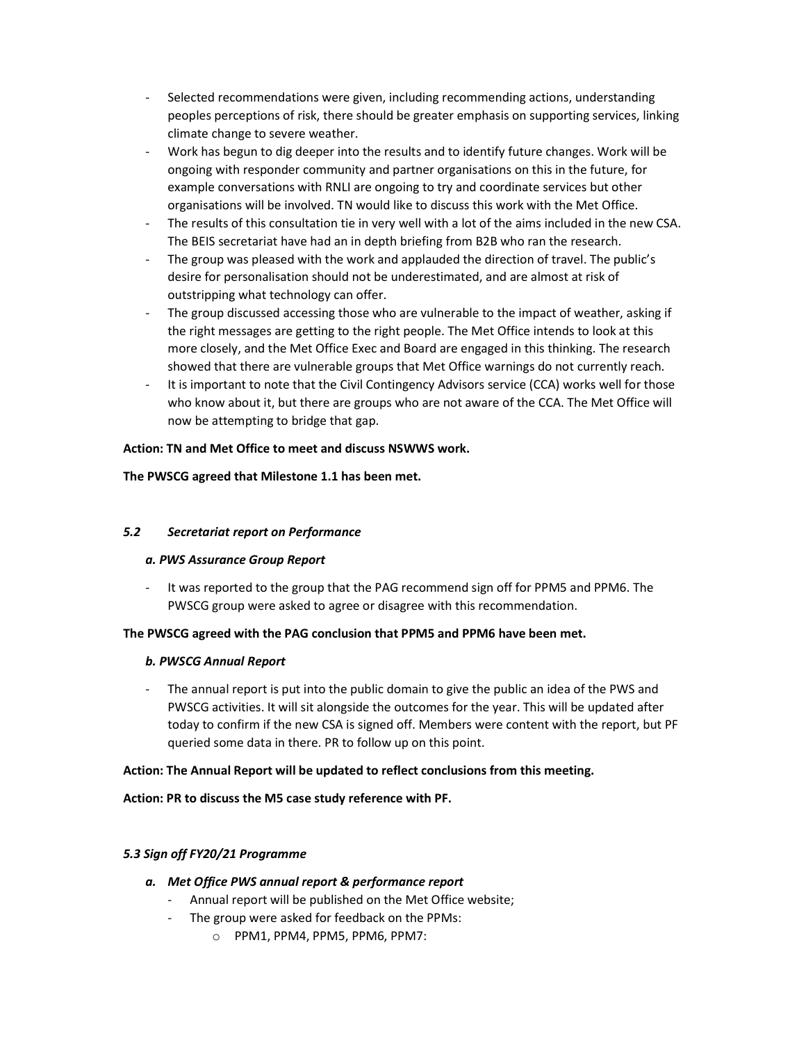- Selected recommendations were given, including recommending actions, understanding peoples perceptions of risk, there should be greater emphasis on supporting services, linking climate change to severe weather.
- Work has begun to dig deeper into the results and to identify future changes. Work will be ongoing with responder community and partner organisations on this in the future, for example conversations with RNLI are ongoing to try and coordinate services but other organisations will be involved. TN would like to discuss this work with the Met Office.
- The results of this consultation tie in very well with a lot of the aims included in the new CSA. The BEIS secretariat have had an in depth briefing from B2B who ran the research.
- The group was pleased with the work and applauded the direction of travel. The public's desire for personalisation should not be underestimated, and are almost at risk of outstripping what technology can offer.
- The group discussed accessing those who are vulnerable to the impact of weather, asking if the right messages are getting to the right people. The Met Office intends to look at this more closely, and the Met Office Exec and Board are engaged in this thinking. The research showed that there are vulnerable groups that Met Office warnings do not currently reach.
- It is important to note that the Civil Contingency Advisors service (CCA) works well for those who know about it, but there are groups who are not aware of the CCA. The Met Office will now be attempting to bridge that gap.

## Action: TN and Met Office to meet and discuss NSWWS work.

## The PWSCG agreed that Milestone 1.1 has been met.

## 5.2 Secretariat report on Performance

#### a. PWS Assurance Group Report

- It was reported to the group that the PAG recommend sign off for PPM5 and PPM6. The PWSCG group were asked to agree or disagree with this recommendation.

## The PWSCG agreed with the PAG conclusion that PPM5 and PPM6 have been met.

#### b. PWSCG Annual Report

- The annual report is put into the public domain to give the public an idea of the PWS and PWSCG activities. It will sit alongside the outcomes for the year. This will be updated after today to confirm if the new CSA is signed off. Members were content with the report, but PF queried some data in there. PR to follow up on this point.

## Action: The Annual Report will be updated to reflect conclusions from this meeting.

Action: PR to discuss the M5 case study reference with PF.

#### 5.3 Sign off FY20/21 Programme

- a. Met Office PWS annual report & performance report
	- Annual report will be published on the Met Office website;
	- The group were asked for feedback on the PPMs:
		- o PPM1, PPM4, PPM5, PPM6, PPM7: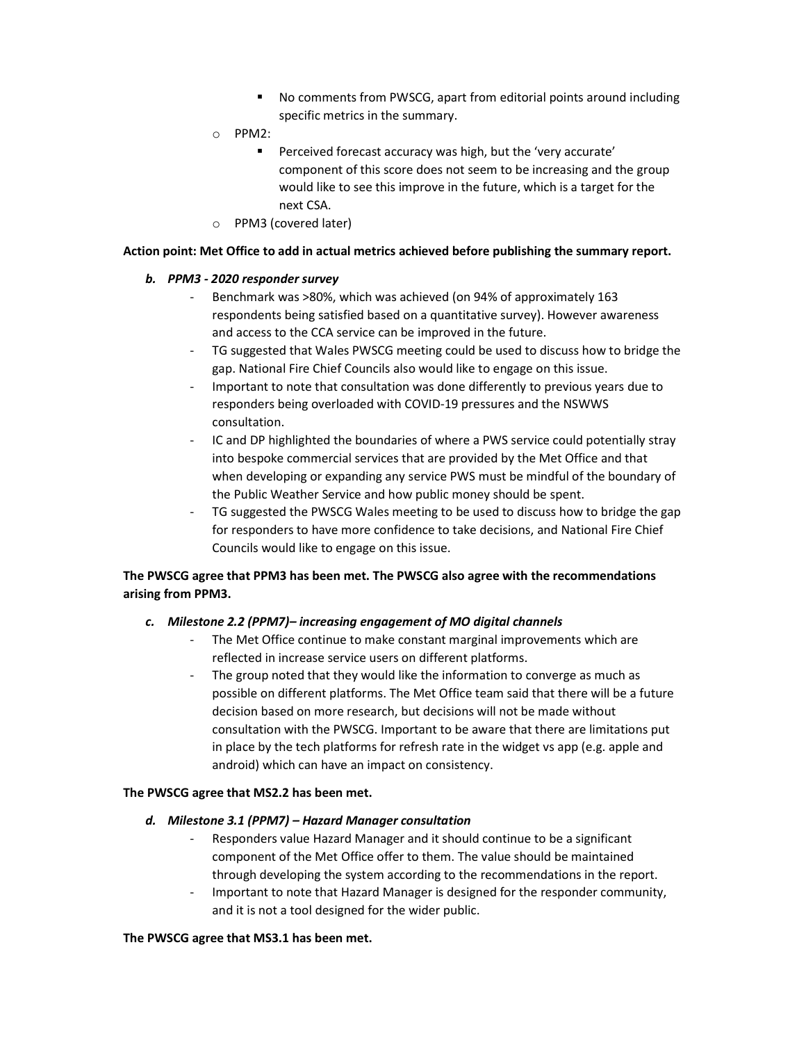- No comments from PWSCG, apart from editorial points around including specific metrics in the summary.
- o PPM2:
	- Perceived forecast accuracy was high, but the 'very accurate' component of this score does not seem to be increasing and the group would like to see this improve in the future, which is a target for the next CSA.
- o PPM3 (covered later)

#### Action point: Met Office to add in actual metrics achieved before publishing the summary report.

## b. PPM3 - 2020 responder survey

- Benchmark was >80%, which was achieved (on 94% of approximately 163 respondents being satisfied based on a quantitative survey). However awareness and access to the CCA service can be improved in the future.
- TG suggested that Wales PWSCG meeting could be used to discuss how to bridge the gap. National Fire Chief Councils also would like to engage on this issue.
- Important to note that consultation was done differently to previous years due to responders being overloaded with COVID-19 pressures and the NSWWS consultation.
- IC and DP highlighted the boundaries of where a PWS service could potentially stray into bespoke commercial services that are provided by the Met Office and that when developing or expanding any service PWS must be mindful of the boundary of the Public Weather Service and how public money should be spent.
- TG suggested the PWSCG Wales meeting to be used to discuss how to bridge the gap for responders to have more confidence to take decisions, and National Fire Chief Councils would like to engage on this issue.

## The PWSCG agree that PPM3 has been met. The PWSCG also agree with the recommendations arising from PPM3.

## c. Milestone 2.2 (PPM7)– increasing engagement of MO digital channels

- The Met Office continue to make constant marginal improvements which are reflected in increase service users on different platforms.
- The group noted that they would like the information to converge as much as possible on different platforms. The Met Office team said that there will be a future decision based on more research, but decisions will not be made without consultation with the PWSCG. Important to be aware that there are limitations put in place by the tech platforms for refresh rate in the widget vs app (e.g. apple and android) which can have an impact on consistency.

#### The PWSCG agree that MS2.2 has been met.

#### d. Milestone 3.1 (PPM7) – Hazard Manager consultation

- Responders value Hazard Manager and it should continue to be a significant component of the Met Office offer to them. The value should be maintained through developing the system according to the recommendations in the report.
- Important to note that Hazard Manager is designed for the responder community, and it is not a tool designed for the wider public.

#### The PWSCG agree that MS3.1 has been met.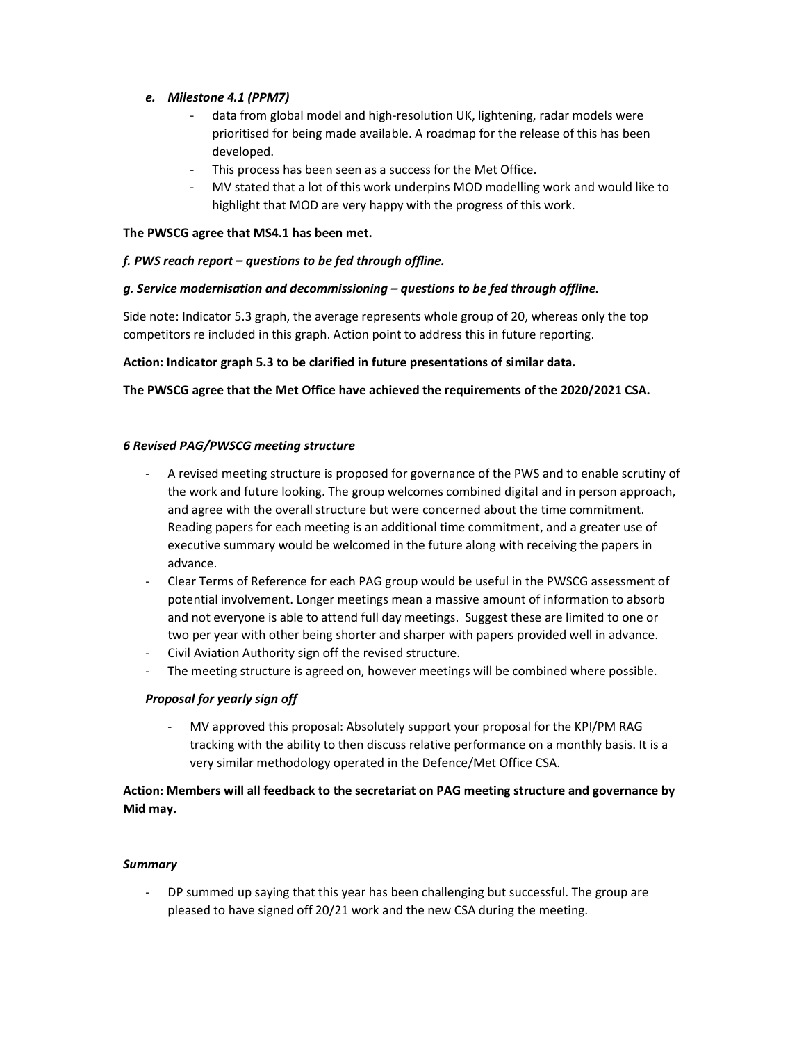## e. Milestone 4.1 (PPM7)

- data from global model and high-resolution UK, lightening, radar models were prioritised for being made available. A roadmap for the release of this has been developed.
- This process has been seen as a success for the Met Office.
- MV stated that a lot of this work underpins MOD modelling work and would like to highlight that MOD are very happy with the progress of this work.

#### The PWSCG agree that MS4.1 has been met.

## f. PWS reach report – questions to be fed through offline.

## g. Service modernisation and decommissioning – questions to be fed through offline.

Side note: Indicator 5.3 graph, the average represents whole group of 20, whereas only the top competitors re included in this graph. Action point to address this in future reporting.

#### Action: Indicator graph 5.3 to be clarified in future presentations of similar data.

## The PWSCG agree that the Met Office have achieved the requirements of the 2020/2021 CSA.

#### 6 Revised PAG/PWSCG meeting structure

- A revised meeting structure is proposed for governance of the PWS and to enable scrutiny of the work and future looking. The group welcomes combined digital and in person approach, and agree with the overall structure but were concerned about the time commitment. Reading papers for each meeting is an additional time commitment, and a greater use of executive summary would be welcomed in the future along with receiving the papers in advance.
- Clear Terms of Reference for each PAG group would be useful in the PWSCG assessment of potential involvement. Longer meetings mean a massive amount of information to absorb and not everyone is able to attend full day meetings. Suggest these are limited to one or two per year with other being shorter and sharper with papers provided well in advance.
- Civil Aviation Authority sign off the revised structure.
- The meeting structure is agreed on, however meetings will be combined where possible.

#### Proposal for yearly sign off

- MV approved this proposal: Absolutely support your proposal for the KPI/PM RAG tracking with the ability to then discuss relative performance on a monthly basis. It is a very similar methodology operated in the Defence/Met Office CSA.

## Action: Members will all feedback to the secretariat on PAG meeting structure and governance by Mid may.

#### **Summary**

- DP summed up saying that this year has been challenging but successful. The group are pleased to have signed off 20/21 work and the new CSA during the meeting.